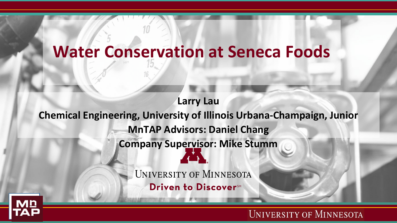## **Water Conservation at Seneca Foods**

**Larry Lau**

**Chemical Engineering, University of Illinois Urbana-Champaign, Junior**

**MnTAP Advisors: Daniel Chang**

**Company Supervisor: Mike Stumm**

UNIVERSITY OF MINNESOTA

Driven to Discover<sup>SM</sup>

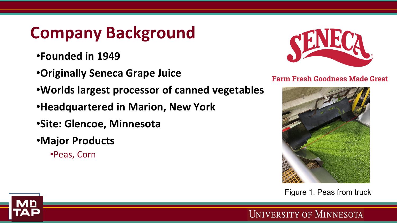# **Company Background**

- •**Founded in 1949**
- •**Originally Seneca Grape Juice**
- •**Worlds largest processor of canned vegetables**
- •**Headquartered in Marion, New York**
- •**Site: Glencoe, Minnesota**
- •**Major Products**
	- •Peas, Corn



#### **Farm Fresh Goodness Made Great**



Figure 1. Peas from truck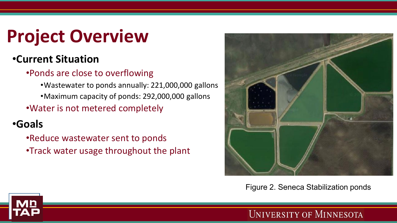# **Project Overview**

## •**Current Situation**

#### •Ponds are close to overflowing

•Wastewater to ponds annually: 221,000,000 gallons

•Maximum capacity of ponds: 292,000,000 gallons

•Water is not metered completely

## •**Goals**

•Reduce wastewater sent to ponds

•Track water usage throughout the plant



Figure 2. Seneca Stabilization ponds

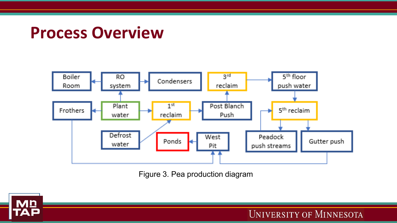## **Process Overview**



Figure 3. Pea production diagram

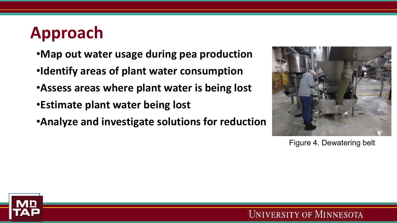# **Approach**

- •**Map out water usage during pea production**
- •**Identify areas of plant water consumption**
- •**Assess areas where plant water is being lost**
- •**Estimate plant water being lost**
- •**Analyze and investigate solutions for reduction**



Figure 4. Dewatering belt

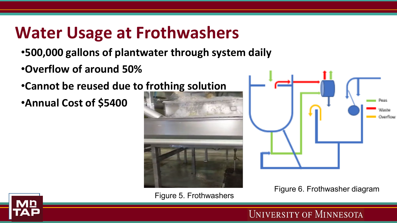# **Water Usage at Frothwashers**

- •**500,000 gallons of plantwater through system daily**
- •**Overflow of around 50%**

•**Cannot be reused due to frothing solution**

•**Annual Cost of \$5400**





Figure 6. Frothwasher diagram<br>Figure 5. Frothwashers



**UNIVERSITY OF MINNESOTA**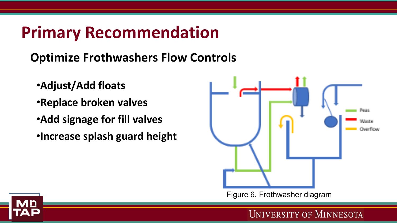# **Primary Recommendation**

## **Optimize Frothwashers Flow Controls**

- •**Adjust/Add floats**
- •**Replace broken valves**
- •**Add signage for fill valves**
- •**Increase splash guard height**



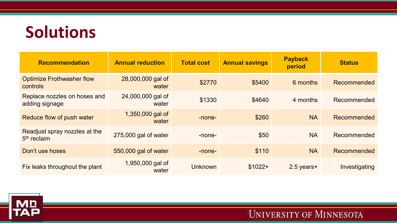# **Solutions**

| <b>Recommendation</b>                                    | <b>Annual reduction</b>    | <b>Total cost</b> | <b>Annual savings</b> | <b>Payback</b><br>period | <b>Status</b> |
|----------------------------------------------------------|----------------------------|-------------------|-----------------------|--------------------------|---------------|
| <b>Optimize Frothwasher flow</b><br>controls             | 28,000,000 gal of<br>water | \$2770            | \$5400                | 6 months                 | Recommended   |
| Replace nozzles on hoses and<br>adding signage           | 24,000,000 gal of<br>water | \$1330            | \$4640                | 4 months                 | Recommended   |
| Reduce flow of push water                                | 1,350,000 gal of<br>water  | -none-            | \$260                 | <b>NA</b>                | Recommended   |
| Readjust spray nozzles at the<br>5 <sup>th</sup> reclaim | 275,000 gal of water       | -none-            | \$50                  | <b>NA</b>                | Recommended   |
| Don't use hoses                                          | 550,000 gal of water       | -none-            | \$110                 | <b>NA</b>                | Recommended   |
| Fix leaks throughout the plant                           | 1,950,000 gal of<br>water  | <b>Unknown</b>    | $$1022+$              | $2.5$ years+             | Investigating |